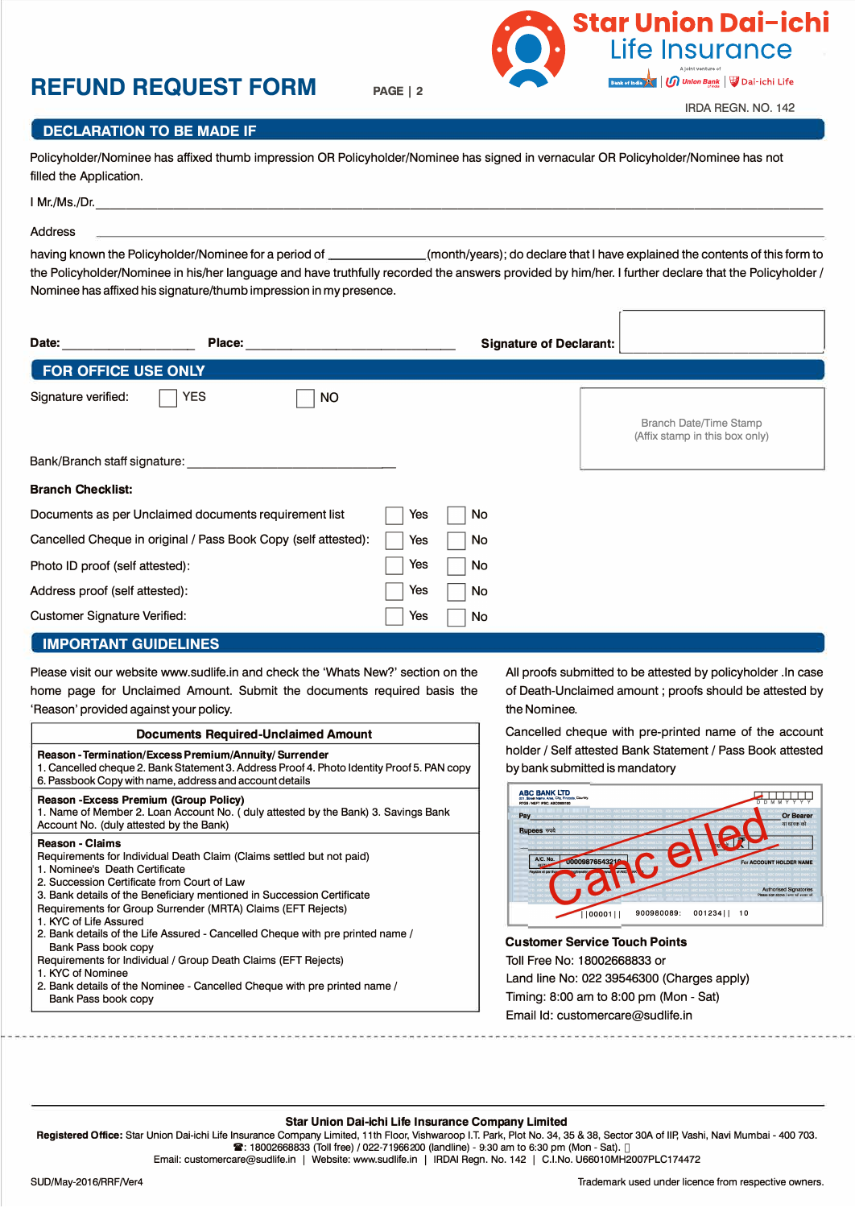## **REFUND REQUEST FORM PAGE 1 <sup>2</sup>**



IRDA REGN. NO. 142

**Star Union Dai-ichi** 

Life Insurance

**In Union Bank** | Dai-ichi Life

## **DECLARATION TO BE MADE IF**

Policyholder/Nominee has affixed thumb impression OR Policyholder/Nominee has signed in vernacular OR Policyholder/Nominee has not filled the Application.

| Mr./Ms./Dr. |  |
|-------------|--|
| Address     |  |

having known the Policyholder/Nominee for a period of (month/years); do declare that I have explained the contents of this form to the Policyholder/Nominee in his/her language and have truthfully recorded the answers provided by him/her. I further declare that the Policyholder / Nominee has affixed his signature/thumb impression in my presence.

| Date:<br>Place:                                                |           |    |  | <b>Signature of Declarant:</b> |                                                                 |  |
|----------------------------------------------------------------|-----------|----|--|--------------------------------|-----------------------------------------------------------------|--|
| FOR OFFICE USE ONLY                                            |           |    |  |                                |                                                                 |  |
| YES<br>Signature verified:                                     | <b>NO</b> |    |  |                                | <b>Branch Date/Time Stamp</b><br>(Affix stamp in this box only) |  |
| Bank/Branch staff signature:                                   |           |    |  |                                |                                                                 |  |
| <b>Branch Checklist:</b>                                       |           |    |  |                                |                                                                 |  |
| Documents as per Unclaimed documents requirement list          | Yes       | No |  |                                |                                                                 |  |
| Cancelled Cheque in original / Pass Book Copy (self attested): | Yes       | No |  |                                |                                                                 |  |
| Photo ID proof (self attested):                                | Yes       | No |  |                                |                                                                 |  |
| Address proof (self attested):                                 | Yes       | No |  |                                |                                                                 |  |
| <b>Customer Signature Verified:</b>                            | Yes       | No |  |                                |                                                                 |  |

### **IMPORTANT GUIDELINES**

Please visit our website www.sudlife.in and check the 'Whats New?' section on the home page for Unclaimed Amount. Submit the documents required basis the 'Reason' provided against your policy.

| <b>Documents Required-Unclaimed Amount</b>                                                                                                                                                                                                                                                                                                                                                                                                                    |
|---------------------------------------------------------------------------------------------------------------------------------------------------------------------------------------------------------------------------------------------------------------------------------------------------------------------------------------------------------------------------------------------------------------------------------------------------------------|
| <b>Reason - Termination/Excess Premium/Annuity/Surrender</b><br>1. Cancelled cheque 2. Bank Statement 3. Address Proof 4. Photo Identity Proof 5. PAN copy<br>6. Passbook Copy with name, address and account details                                                                                                                                                                                                                                         |
| <b>Reason - Excess Premium (Group Policy)</b><br>1. Name of Member 2. Loan Account No. (duly attested by the Bank) 3. Savings Bank<br>Account No. (duly attested by the Bank)                                                                                                                                                                                                                                                                                 |
| <b>Reason - Claims</b><br>Requirements for Individual Death Claim (Claims settled but not paid)<br>1. Nominee's Death Certificate<br>2. Succession Certificate from Court of Law<br>3. Bank details of the Beneficiary mentioned in Succession Certificate<br>Requirements for Group Surrender (MRTA) Claims (EFT Rejects)<br>1. KYC of Life Assured<br>2. Bank details of the Life Assured - Cancelled Cheque with pre printed name /<br>Bank Pass book copy |
| Requirements for Individual / Group Death Claims (EFT Rejects)                                                                                                                                                                                                                                                                                                                                                                                                |

#### 1. KYC of Nominee

2. Bank details of the Nominee - Cancelled Cheque with pre printed name/ Bank Pass book copy

All proofs submitted to be attested by policyholder .In case of Death-Unclaimed amount ; proofs should be attested by the Nominee.

Cancelled cheque with pre-printed name of the account holder / Self attested Bank Statement / Pass Book attested by bank submitted is mandatory



**Customer Service Touch Points**  Toll Free No: 18002668833 or Land line No: 022 39546300 (Charges apply) Timing: 8:00 am to 8:00 pm (Mon - Sat) Email Id: customercare@sudlife.in

## **Star Union Dai-ichi Life Insurance Company Limited**

Registered Office: 11<sup>th</sup> Floor, Vishwaroop IT Park, Plot No. 34, 35 & 38, Sector 30A of IIP, Vashi, Navi Mumbai - 400 703. Toll Free No.: 1800 266 8833 (9:30 am to 6:30 pm – Mon to Sat) | Tel.: 022-7196 6200 | Fax: 022-7196 2811 Email: customercare@sudlife.in | Website: www.sudlife.in | IRDAI Regn. No. 142 | CIN: U66010MH2007PLC174472 Trademark used under licence from respective owners.

We mean life!

SUD/May-2016/RRFNer4